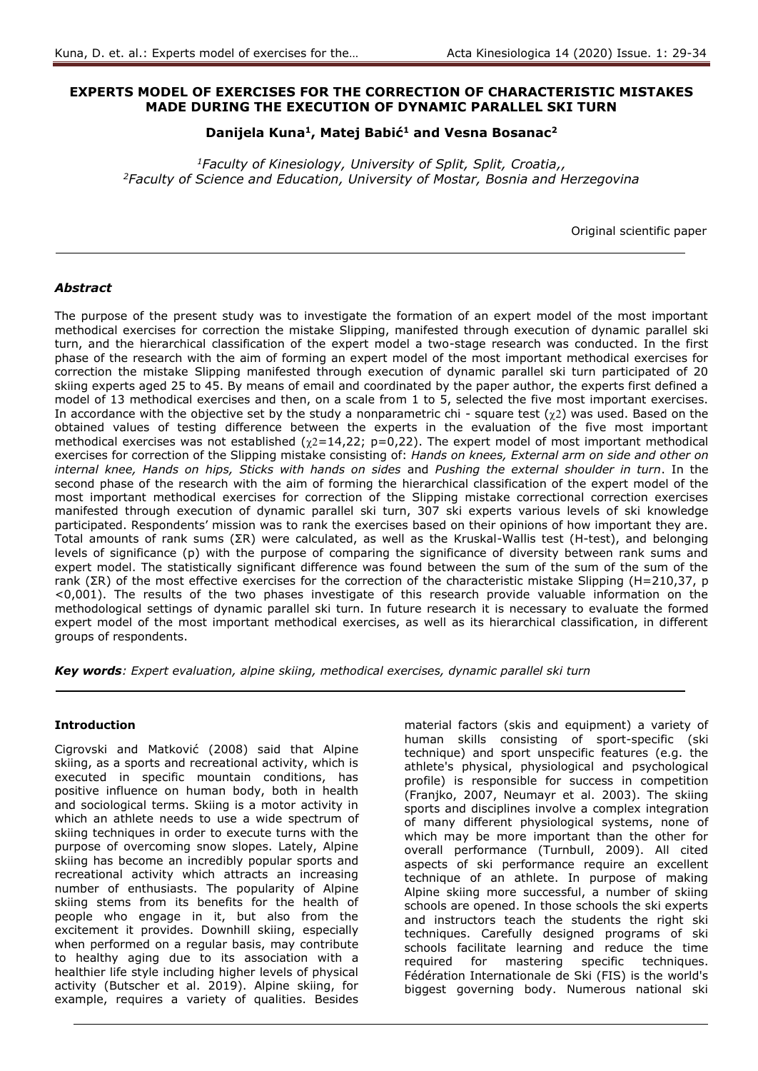## **EXPERTS MODEL OF EXERCISES FOR THE CORRECTION OF CHARACTERISTIC MISTAKES MADE DURING THE EXECUTION OF DYNAMIC PARALLEL SKI TURN**

# **Danijela Kuna<sup>1</sup> , Matej Babić<sup>1</sup> and Vesna Bosanac<sup>2</sup>**

*<sup>1</sup>Faculty of Kinesiology, University of Split, Split, Croatia,, <sup>2</sup>Faculty of Science and Education, University of Mostar, Bosnia and Herzegovina*

Original scientific paper

## *Abstract*

The purpose of the present study was to investigate the formation of an expert model of the most important methodical exercises for correction the mistake Slipping, manifested through execution of dynamic parallel ski turn, and the hierarchical classification of the expert model a two-stage research was conducted. In the first phase of the research with the aim of forming an expert model of the most important methodical exercises for correction the mistake Slipping manifested through execution of dynamic parallel ski turn participated of 20 skiing experts aged 25 to 45. By means of email and coordinated by the paper author, the experts first defined a model of 13 methodical exercises and then, on a scale from 1 to 5, selected the five most important exercises. In accordance with the objective set by the study a nonparametric chi - square test  $(\chi^2)$  was used. Based on the obtained values of testing difference between the experts in the evaluation of the five most important methodical exercises was not established  $(\chi2=14,22; \ p=0,22)$ . The expert model of most important methodical exercises for correction of the Slipping mistake consisting of: *Hands on knees, External arm on side and other on internal knee, Hands on hips, Sticks with hands on sides* and *Pushing the external shoulder in turn*. In the second phase of the research with the aim of forming the hierarchical classification of the expert model of the most important methodical exercises for correction of the Slipping mistake correctional correction exercises manifested through execution of dynamic parallel ski turn, 307 ski experts various levels of ski knowledge participated. Respondents' mission was to rank the exercises based on their opinions of how important they are. Total amounts of rank sums (ΣR) were calculated, as well as the Kruskal-Wallis test (H-test), and belonging levels of significance (p) with the purpose of comparing the significance of diversity between rank sums and expert model. The statistically significant difference was found between the sum of the sum of the sum of the rank (ΣR) of the most effective exercises for the correction of the characteristic mistake Slipping (H=210,37, p <0,001). The results of the two phases investigate of this research provide valuable information on the methodological settings of dynamic parallel ski turn. In future research it is necessary to evaluate the formed expert model of the most important methodical exercises, as well as its hierarchical classification, in different groups of respondents.

*Key words: Expert evaluation, alpine skiing, methodical exercises, dynamic parallel ski turn*

### **Introduction**

Cigrovski and Matković (2008) said that Alpine skiing, as a sports and recreational activity, which is executed in specific mountain conditions, has positive influence on human body, both in health and sociological terms. Skiing is a motor activity in which an athlete needs to use a wide spectrum of skiing techniques in order to execute turns with the purpose of overcoming snow slopes. Lately, Alpine skiing has become an incredibly popular sports and recreational activity which attracts an increasing number of enthusiasts. The popularity of Alpine skiing stems from its benefits for the health of people who engage in it, but also from the excitement it provides. Downhill skiing, especially when performed on a regular basis, may contribute to healthy aging due to its association with a healthier life style including higher levels of physical activity (Butscher et al. 2019). Alpine skiing, for example, requires a variety of qualities. Besides

material factors (skis and equipment) a variety of human skills consisting of sport-specific (ski technique) and sport unspecific features (e.g. the athlete's physical, physiological and psychological profile) is responsible for success in competition (Franjko, 2007, Neumayr et al. 2003). The skiing sports and disciplines involve a complex integration of many different physiological systems, none of which may be more important than the other for overall performance (Turnbull, 2009). All cited aspects of ski performance require an excellent technique of an athlete. In purpose of making Alpine skiing more successful, a number of skiing schools are opened. In those schools the ski experts and instructors teach the students the right ski techniques. Carefully designed programs of ski schools facilitate learning and reduce the time required for mastering specific techniques. Fédération Internationale de Ski (FIS) is the world's biggest governing body. Numerous national ski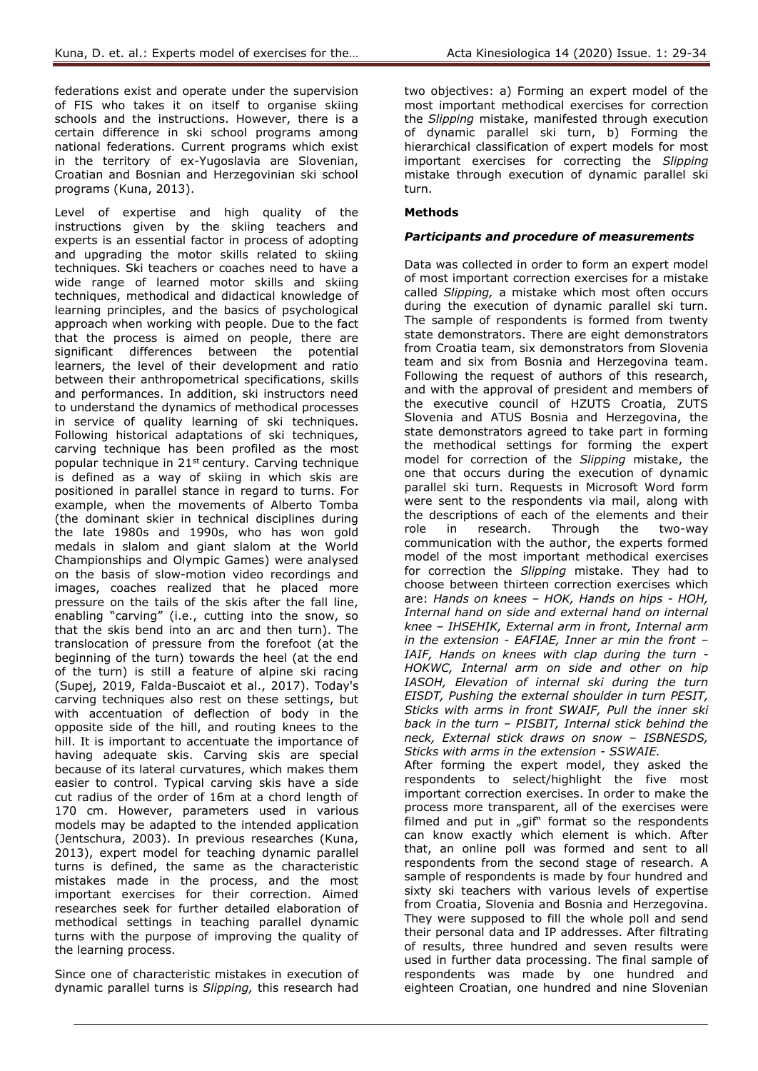federations exist and operate under the supervision of FIS who takes it on itself to organise skiing schools and the instructions. However, there is a certain difference in ski school programs among national federations. Current programs which exist in the territory of ex-Yugoslavia are Slovenian, Croatian and Bosnian and Herzegovinian ski school programs (Kuna, 2013).

Level of expertise and high quality of the instructions given by the skiing teachers and experts is an essential factor in process of adopting and upgrading the motor skills related to skiing techniques. Ski teachers or coaches need to have a wide range of learned motor skills and skiing techniques, methodical and didactical knowledge of learning principles, and the basics of psychological approach when working with people. Due to the fact that the process is aimed on people, there are significant differences between the potential learners, the level of their development and ratio between their anthropometrical specifications, skills and performances. In addition, ski instructors need to understand the dynamics of methodical processes in service of quality learning of ski techniques. Following historical adaptations of ski techniques, carving technique has been profiled as the most popular technique in  $21^{st}$  century. Carving technique is defined as a way of skiing in which skis are positioned in parallel stance in regard to turns. For example, when the movements of Alberto Tomba (the dominant skier in technical disciplines during the late 1980s and 1990s, who has won gold medals in slalom and giant slalom at the World Championships and Olympic Games) were analysed on the basis of slow-motion video recordings and images, coaches realized that he placed more pressure on the tails of the skis after the fall line, enabling "carving" (i.e., cutting into the snow, so that the skis bend into an arc and then turn). The translocation of pressure from the forefoot (at the beginning of the turn) towards the heel (at the end of the turn) is still a feature of alpine ski racing (Supej, 2019, Falda-Buscaiot et al., 2017). Today's carving techniques also rest on these settings, but with accentuation of deflection of body in the opposite side of the hill, and routing knees to the hill. It is important to accentuate the importance of having adequate skis. Carving skis are special because of its lateral curvatures, which makes them easier to control. Typical carving skis have a side cut radius of the order of 16m at a chord length of 170 cm. However, parameters used in various models may be adapted to the intended application (Jentschura, 2003). In previous researches (Kuna, 2013), expert model for teaching dynamic parallel turns is defined, the same as the characteristic mistakes made in the process, and the most important exercises for their correction. Aimed researches seek for further detailed elaboration of methodical settings in teaching parallel dynamic turns with the purpose of improving the quality of the learning process.

Since one of characteristic mistakes in execution of dynamic parallel turns is *Slipping,* this research had

two objectives: a) Forming an expert model of the most important methodical exercises for correction the *Slipping* mistake, manifested through execution of dynamic parallel ski turn, b) Forming the hierarchical classification of expert models for most important exercises for correcting the *Slipping*  mistake through execution of dynamic parallel ski turn.

# **Methods**

## *Participants and procedure of measurements*

Data was collected in order to form an expert model of most important correction exercises for a mistake called *Slipping,* a mistake which most often occurs during the execution of dynamic parallel ski turn. The sample of respondents is formed from twenty state demonstrators. There are eight demonstrators from Croatia team, six demonstrators from Slovenia team and six from Bosnia and Herzegovina team. Following the request of authors of this research, and with the approval of president and members of the executive council of HZUTS Croatia, ZUTS Slovenia and ATUS Bosnia and Herzegovina, the state demonstrators agreed to take part in forming the methodical settings for forming the expert model for correction of the *Slipping* mistake, the one that occurs during the execution of dynamic parallel ski turn. Requests in Microsoft Word form were sent to the respondents via mail, along with the descriptions of each of the elements and their role in research. Through the two-way communication with the author, the experts formed model of the most important methodical exercises for correction the *Slipping* mistake. They had to choose between thirteen correction exercises which are: *Hands on knees – HOK, Hands on hips - HOH, Internal hand on side and external hand on internal knee – IHSEHIK, External arm in front, Internal arm in the extension - EAFIAE, Inner ar min the front – IAIF, Hands on knees with clap during the turn - HOKWC, Internal arm on side and other on hip IASOH, Elevation of internal ski during the turn EISDT, Pushing the external shoulder in turn PESIT, Sticks with arms in front SWAIF, Pull the inner ski back in the turn – PISBIT, Internal stick behind the neck, External stick draws on snow – ISBNESDS, Sticks with arms in the extension - SSWAIE.*

After forming the expert model, they asked the respondents to select/highlight the five most important correction exercises. In order to make the process more transparent, all of the exercises were filmed and put in "gif" format so the respondents can know exactly which element is which. After that, an online poll was formed and sent to all respondents from the second stage of research. A sample of respondents is made by four hundred and sixty ski teachers with various levels of expertise from Croatia, Slovenia and Bosnia and Herzegovina. They were supposed to fill the whole poll and send their personal data and IP addresses. After filtrating of results, three hundred and seven results were used in further data processing. The final sample of respondents was made by one hundred and eighteen Croatian, one hundred and nine Slovenian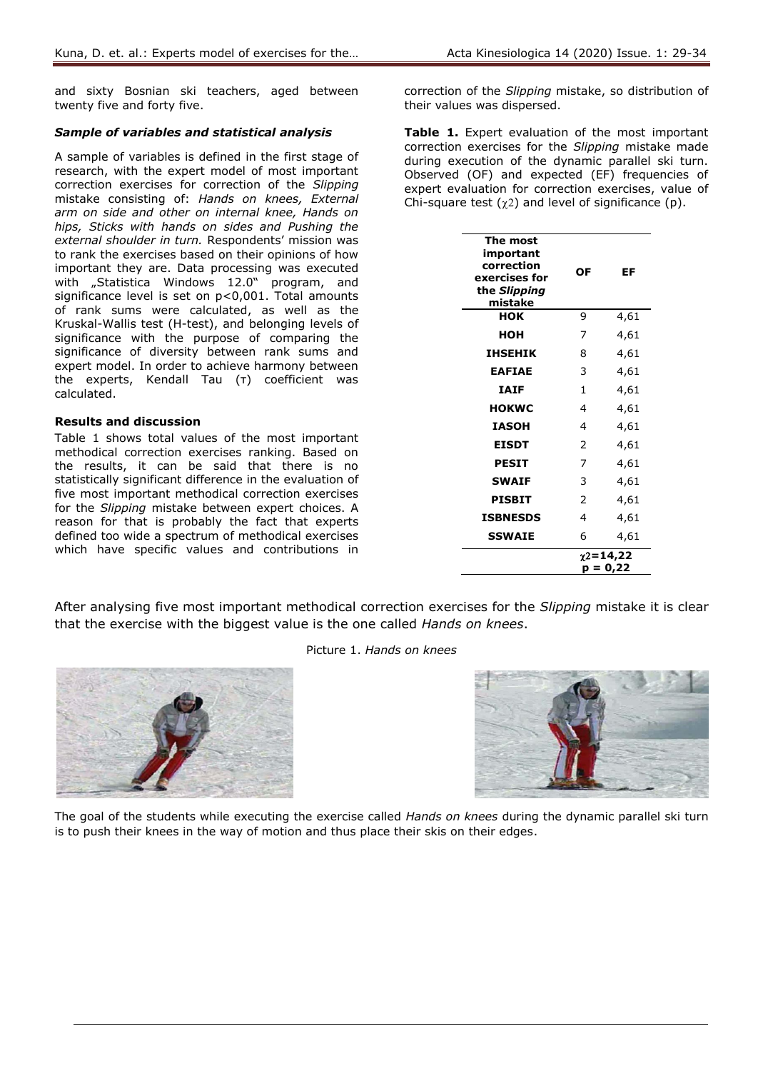and sixty Bosnian ski teachers, aged between twenty five and forty five.

#### *Sample of variables and statistical analysis*

A sample of variables is defined in the first stage of research, with the expert model of most important correction exercises for correction of the *Slipping* mistake consisting of: *Hands on knees, External arm on side and other on internal knee, Hands on hips, Sticks with hands on sides and Pushing the external shoulder in turn.* Respondents' mission was to rank the exercises based on their opinions of how important they are. Data processing was executed with "Statistica Windows 12.0" program, and significance level is set on p<0,001. Total amounts of rank sums were calculated, as well as the Kruskal-Wallis test (H-test), and belonging levels of significance with the purpose of comparing the significance of diversity between rank sums and expert model. In order to achieve harmony between the experts, Kendall Tau (τ) coefficient was calculated.

#### **Results and discussion**

Table 1 shows total values of the most important methodical correction exercises ranking. Based on the results, it can be said that there is no statistically significant difference in the evaluation of five most important methodical correction exercises for the *Slipping* mistake between expert choices. A reason for that is probably the fact that experts defined too wide a spectrum of methodical exercises which have specific values and contributions in

correction of the *Slipping* mistake, so distribution of their values was dispersed.

Table 1. Expert evaluation of the most important correction exercises for the *Slipping* mistake made during execution of the dynamic parallel ski turn. Observed (OF) and expected (EF) frequencies of expert evaluation for correction exercises, value of Chi-square test  $(\chi^2)$  and level of significance (p).

| The most<br>important<br>correction<br>exercises for<br>the Slipping<br>mistake | ΟF                             | EF   |
|---------------------------------------------------------------------------------|--------------------------------|------|
| HOK                                                                             | 9                              | 4,61 |
| нон                                                                             | 7                              | 4,61 |
| <b>IHSEHIK</b>                                                                  | 8                              | 4,61 |
| <b>EAFIAE</b>                                                                   | 3                              | 4,61 |
| <b>IAIF</b>                                                                     | $\mathbf{1}$                   | 4,61 |
| <b>HOKWC</b>                                                                    | 4                              | 4,61 |
| <b>IASOH</b>                                                                    | 4                              | 4,61 |
| <b>EISDT</b>                                                                    | 2                              | 4,61 |
| <b>PESIT</b>                                                                    | 7                              | 4,61 |
| <b>SWAIF</b>                                                                    | 3                              | 4,61 |
| PISBIT                                                                          | 2                              | 4,61 |
| <b>ISBNESDS</b>                                                                 | 4                              | 4,61 |
| <b>SSWAIE</b>                                                                   | 6                              | 4,61 |
|                                                                                 | $\gamma$ 2=14,22<br>$p = 0,22$ |      |

After analysing five most important methodical correction exercises for the *Slipping* mistake it is clear that the exercise with the biggest value is the one called *Hands on knees*.



Picture 1. *Hands on knees*



The goal of the students while executing the exercise called *Hands on knees* during the dynamic parallel ski turn is to push their knees in the way of motion and thus place their skis on their edges.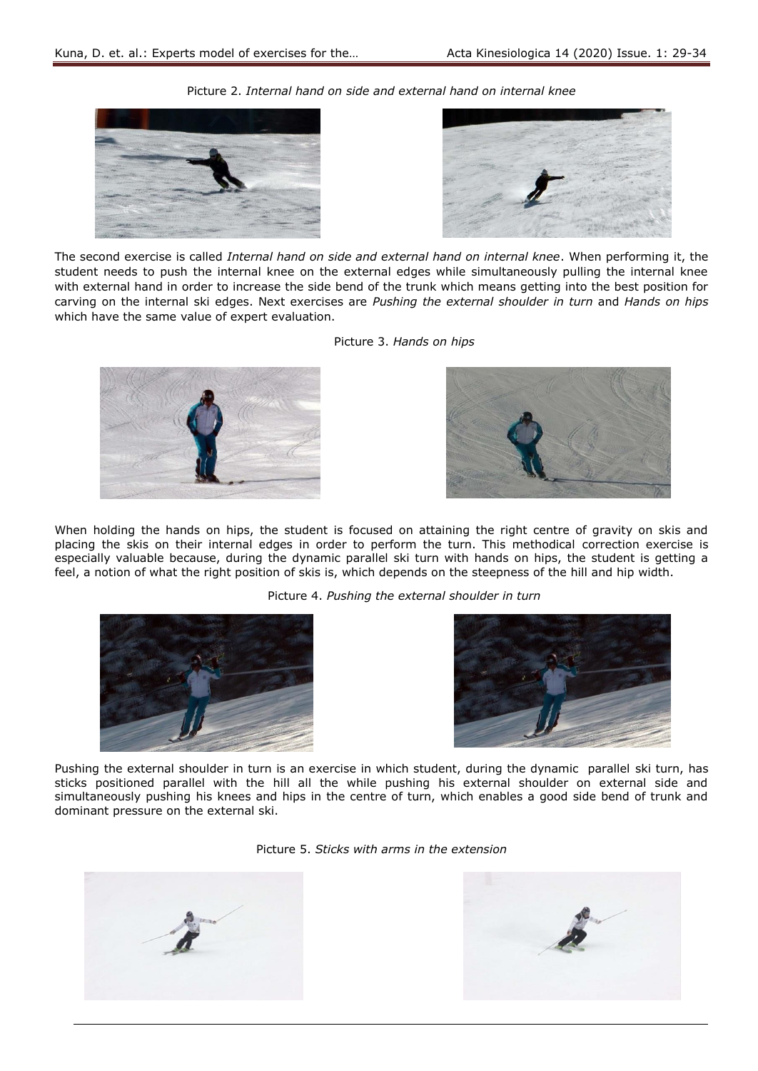



The second exercise is called *Internal hand on side and external hand on internal knee*. When performing it, the student needs to push the internal knee on the external edges while simultaneously pulling the internal knee with external hand in order to increase the side bend of the trunk which means getting into the best position for carving on the internal ski edges. Next exercises are *Pushing the external shoulder in turn* and *Hands on hips* which have the same value of expert evaluation.

Picture 2. *Internal hand on side and external hand on internal knee*

Picture 3. *Hands on hips*





When holding the hands on hips, the student is focused on attaining the right centre of gravity on skis and placing the skis on their internal edges in order to perform the turn. This methodical correction exercise is especially valuable because, during the dynamic parallel ski turn with hands on hips, the student is getting a feel, a notion of what the right position of skis is, which depends on the steepness of the hill and hip width.

Picture 4. *Pushing the external shoulder in turn*





Pushing the external shoulder in turn is an exercise in which student, during the dynamic parallel ski turn, has sticks positioned parallel with the hill all the while pushing his external shoulder on external side and simultaneously pushing his knees and hips in the centre of turn, which enables a good side bend of trunk and dominant pressure on the external ski.

Picture 5. *Sticks with arms in the extension*



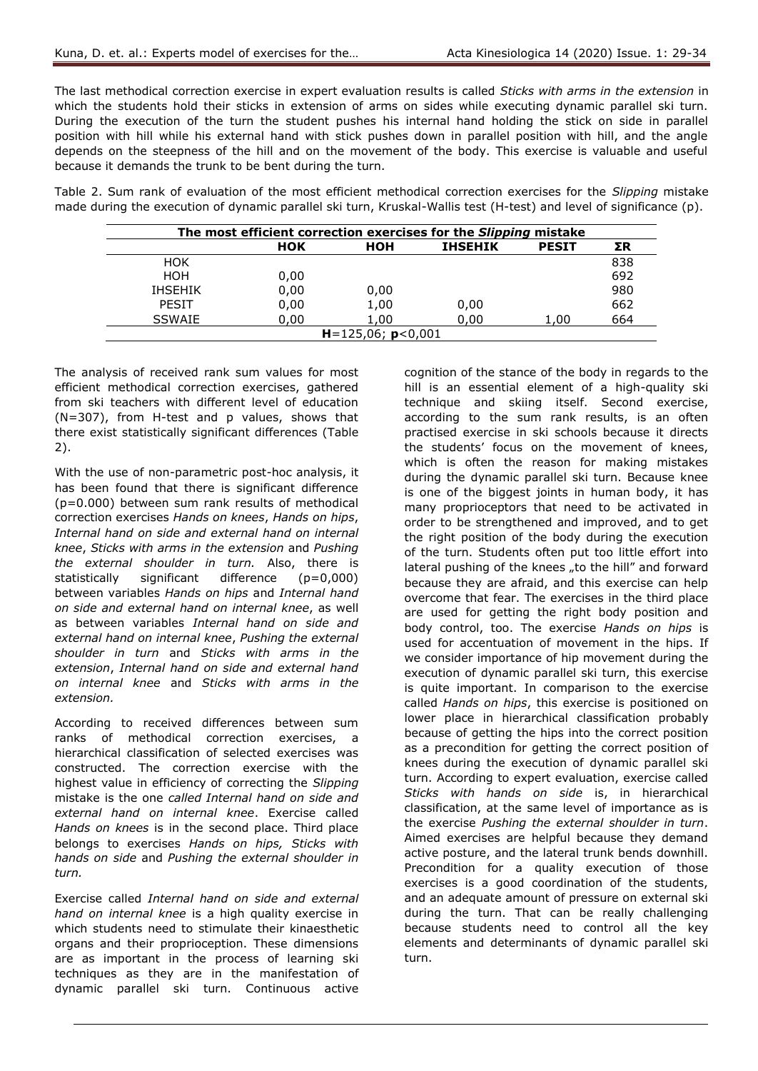The last methodical correction exercise in expert evaluation results is called *Sticks with arms in the extension* in which the students hold their sticks in extension of arms on sides while executing dynamic parallel ski turn. During the execution of the turn the student pushes his internal hand holding the stick on side in parallel position with hill while his external hand with stick pushes down in parallel position with hill, and the angle depends on the steepness of the hill and on the movement of the body. This exercise is valuable and useful because it demands the trunk to be bent during the turn.

Table 2. Sum rank of evaluation of the most efficient methodical correction exercises for the *Slipping* mistake made during the execution of dynamic parallel ski turn, Kruskal-Wallis test (H-test) and level of significance (p).

| The most efficient correction exercises for the Slipping mistake |      |      |                |              |     |  |  |
|------------------------------------------------------------------|------|------|----------------|--------------|-----|--|--|
|                                                                  | HOK  | нон  | <b>IHSEHIK</b> | <b>PESIT</b> | ΣR  |  |  |
| <b>HOK</b>                                                       |      |      |                |              | 838 |  |  |
| HOH                                                              | 0,00 |      |                |              | 692 |  |  |
| <b>IHSEHIK</b>                                                   | 0,00 | 0,00 |                |              | 980 |  |  |
| <b>PESIT</b>                                                     | 0,00 | 1,00 | 0,00           |              | 662 |  |  |
| <b>SSWAIE</b>                                                    | 0,00 | 1,00 | 0,00           | 1,00         | 664 |  |  |
| $H = 125,06$ ; $p < 0,001$                                       |      |      |                |              |     |  |  |

The analysis of received rank sum values for most efficient methodical correction exercises, gathered from ski teachers with different level of education (N=307), from H-test and p values, shows that there exist statistically significant differences (Table 2).

With the use of non-parametric post-hoc analysis, it has been found that there is significant difference (p=0.000) between sum rank results of methodical correction exercises *Hands on knees*, *Hands on hips*, *Internal hand on side and external hand on internal knee*, *Sticks with arms in the extension* and *Pushing the external shoulder in turn.* Also, there is statistically significant difference (p=0,000) between variables *Hands on hips* and *Internal hand on side and external hand on internal knee*, as well as between variables *Internal hand on side and external hand on internal knee*, *Pushing the external shoulder in turn* and *Sticks with arms in the extension*, *Internal hand on side and external hand on internal knee* and *Sticks with arms in the extension.*

According to received differences between sum ranks of methodical correction exercises, a hierarchical classification of selected exercises was constructed. The correction exercise with the highest value in efficiency of correcting the *Slipping*  mistake is the one *called Internal hand on side and external hand on internal knee*. Exercise called *Hands on knees* is in the second place. Third place belongs to exercises *Hands on hips, Sticks with hands on side* and *Pushing the external shoulder in turn.*

Exercise called *Internal hand on side and external hand on internal knee* is a high quality exercise in which students need to stimulate their kinaesthetic organs and their proprioception. These dimensions are as important in the process of learning ski techniques as they are in the manifestation of dynamic parallel ski turn. Continuous active

cognition of the stance of the body in regards to the hill is an essential element of a high-quality ski technique and skiing itself. Second exercise, according to the sum rank results, is an often practised exercise in ski schools because it directs the students' focus on the movement of knees, which is often the reason for making mistakes during the dynamic parallel ski turn. Because knee is one of the biggest joints in human body, it has many proprioceptors that need to be activated in order to be strengthened and improved, and to get the right position of the body during the execution of the turn. Students often put too little effort into lateral pushing of the knees "to the hill" and forward because they are afraid, and this exercise can help overcome that fear. The exercises in the third place are used for getting the right body position and body control, too. The exercise *Hands on hips* is used for accentuation of movement in the hips. If we consider importance of hip movement during the execution of dynamic parallel ski turn, this exercise is quite important. In comparison to the exercise called *Hands on hips*, this exercise is positioned on lower place in hierarchical classification probably because of getting the hips into the correct position as a precondition for getting the correct position of knees during the execution of dynamic parallel ski turn. According to expert evaluation, exercise called *Sticks with hands on side* is, in hierarchical classification, at the same level of importance as is the exercise *Pushing the external shoulder in turn*. Aimed exercises are helpful because they demand active posture, and the lateral trunk bends downhill. Precondition for a quality execution of those exercises is a good coordination of the students, and an adequate amount of pressure on external ski during the turn. That can be really challenging because students need to control all the key elements and determinants of dynamic parallel ski turn.